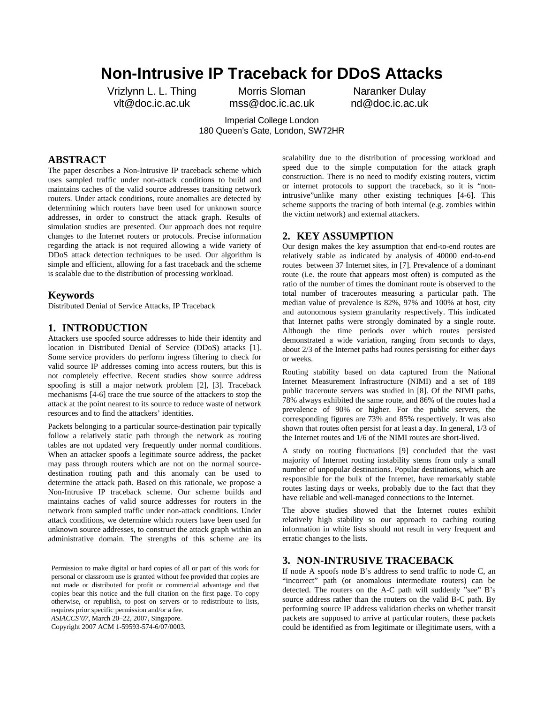# **Non-Intrusive IP Traceback for DDoS Attacks**

Vrizlynn L. L. Thing vlt@doc.ic.ac.uk

Morris Sloman mss@doc.ic.ac.uk

Naranker Dulay nd@doc.ic.ac.uk

Imperial College London 180 Queen's Gate, London, SW72HR

# **ABSTRACT**

The paper describes a Non-Intrusive IP traceback scheme which uses sampled traffic under non-attack conditions to build and maintains caches of the valid source addresses transiting network routers. Under attack conditions, route anomalies are detected by determining which routers have been used for unknown source addresses, in order to construct the attack graph. Results of simulation studies are presented. Our approach does not require changes to the Internet routers or protocols. Precise information regarding the attack is not required allowing a wide variety of DDoS attack detection techniques to be used. Our algorithm is simple and efficient, allowing for a fast traceback and the scheme is scalable due to the distribution of processing workload.

## **Keywords**

Distributed Denial of Service Attacks, IP Traceback

# **1. INTRODUCTION**

Attackers use spoofed source addresses to hide their identity and location in Distributed Denial of Service (DDoS) attacks [1]. Some service providers do perform ingress filtering to check for valid source IP addresses coming into access routers, but this is not completely effective. Recent studies show source address spoofing is still a major network problem [2], [3]. Traceback mechanisms [4-6] trace the true source of the attackers to stop the attack at the point nearest to its source to reduce waste of network resources and to find the attackers' identities.

Packets belonging to a particular source-destination pair typically follow a relatively static path through the network as routing tables are not updated very frequently under normal conditions. When an attacker spoofs a legitimate source address, the packet may pass through routers which are not on the normal sourcedestination routing path and this anomaly can be used to determine the attack path. Based on this rationale, we propose a Non-Intrusive IP traceback scheme. Our scheme builds and maintains caches of valid source addresses for routers in the network from sampled traffic under non-attack conditions. Under attack conditions, we determine which routers have been used for unknown source addresses, to construct the attack graph within an administrative domain. The strengths of this scheme are its

Permission to make digital or hard copies of all or part of this work for personal or classroom use is granted without fee provided that copies are not made or distributed for profit or commercial advantage and that copies bear this notice and the full citation on the first page. To copy otherwise, or republish, to post on servers or to redistribute to lists, requires prior specific permission and/or a fee.

*ASIACCS'07*, March 20–22, 2007, Singapore.

Copyright 2007 ACM 1-59593-574-6/07/0003.

scalability due to the distribution of processing workload and speed due to the simple computation for the attack graph construction. There is no need to modify existing routers, victim or internet protocols to support the traceback, so it is "nonintrusive"unlike many other existing techniques [4-6]. This scheme supports the tracing of both internal (e.g. zombies within the victim network) and external attackers.

# **2. KEY ASSUMPTION**

Our design makes the key assumption that end-to-end routes are relatively stable as indicated by analysis of 40000 end-to-end routes between 37 Internet sites, in [7]. Prevalence of a dominant route (i.e. the route that appears most often) is computed as the ratio of the number of times the dominant route is observed to the total number of traceroutes measuring a particular path. The median value of prevalence is 82%, 97% and 100% at host, city and autonomous system granularity respectively. This indicated that Internet paths were strongly dominated by a single route. Although the time periods over which routes persisted demonstrated a wide variation, ranging from seconds to days, about 2/3 of the Internet paths had routes persisting for either days or weeks.

Routing stability based on data captured from the National Internet Measurement Infrastructure (NIMI) and a set of 189 public traceroute servers was studied in [8]. Of the NIMI paths, 78% always exhibited the same route, and 86% of the routes had a prevalence of 90% or higher. For the public servers, the corresponding figures are 73% and 85% respectively. It was also shown that routes often persist for at least a day. In general, 1/3 of the Internet routes and 1/6 of the NIMI routes are short-lived.

A study on routing fluctuations [9] concluded that the vast majority of Internet routing instability stems from only a small number of unpopular destinations. Popular destinations, which are responsible for the bulk of the Internet, have remarkably stable routes lasting days or weeks, probably due to the fact that they have reliable and well-managed connections to the Internet.

The above studies showed that the Internet routes exhibit relatively high stability so our approach to caching routing information in white lists should not result in very frequent and erratic changes to the lists.

# **3. NON-INTRUSIVE TRACEBACK**

If node A spoofs node B's address to send traffic to node C, an "incorrect" path (or anomalous intermediate routers) can be detected. The routers on the A-C path will suddenly "see" B's source address rather than the routers on the valid B-C path. By performing source IP address validation checks on whether transit packets are supposed to arrive at particular routers, these packets could be identified as from legitimate or illegitimate users, with a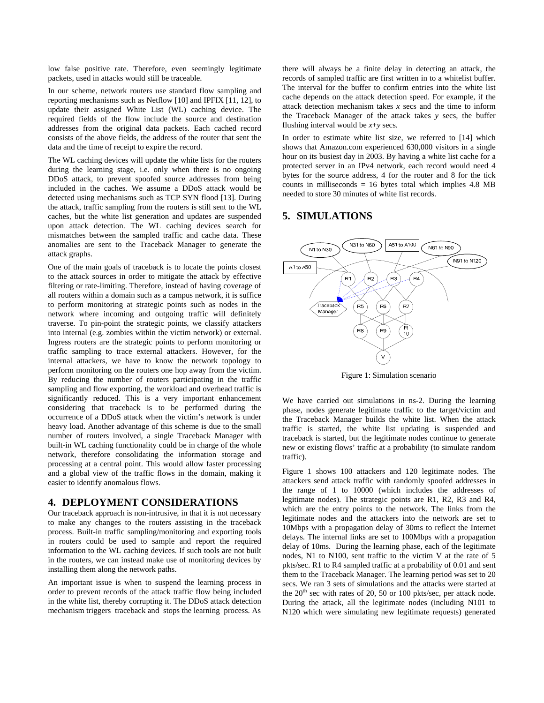low false positive rate. Therefore, even seemingly legitimate packets, used in attacks would still be traceable.

In our scheme, network routers use standard flow sampling and reporting mechanisms such as Netflow [10] and IPFIX [11, 12], to update their assigned White List (WL) caching device. The required fields of the flow include the source and destination addresses from the original data packets. Each cached record consists of the above fields, the address of the router that sent the data and the time of receipt to expire the record.

The WL caching devices will update the white lists for the routers during the learning stage, i.e. only when there is no ongoing DDoS attack, to prevent spoofed source addresses from being included in the caches. We assume a DDoS attack would be detected using mechanisms such as TCP SYN flood [13]. During the attack, traffic sampling from the routers is still sent to the WL caches, but the white list generation and updates are suspended upon attack detection. The WL caching devices search for mismatches between the sampled traffic and cache data. These anomalies are sent to the Traceback Manager to generate the attack graphs.

One of the main goals of traceback is to locate the points closest to the attack sources in order to mitigate the attack by effective filtering or rate-limiting. Therefore, instead of having coverage of all routers within a domain such as a campus network, it is suffice to perform monitoring at strategic points such as nodes in the network where incoming and outgoing traffic will definitely traverse. To pin-point the strategic points, we classify attackers into internal (e.g. zombies within the victim network) or external. Ingress routers are the strategic points to perform monitoring or traffic sampling to trace external attackers. However, for the internal attackers, we have to know the network topology to perform monitoring on the routers one hop away from the victim. By reducing the number of routers participating in the traffic sampling and flow exporting, the workload and overhead traffic is significantly reduced. This is a very important enhancement considering that traceback is to be performed during the occurrence of a DDoS attack when the victim's network is under heavy load. Another advantage of this scheme is due to the small number of routers involved, a single Traceback Manager with built-in WL caching functionality could be in charge of the whole network, therefore consolidating the information storage and processing at a central point. This would allow faster processing and a global view of the traffic flows in the domain, making it easier to identify anomalous flows.

### **4. DEPLOYMENT CONSIDERATIONS**

Our traceback approach is non-intrusive, in that it is not necessary to make any changes to the routers assisting in the traceback process. Built-in traffic sampling/monitoring and exporting tools in routers could be used to sample and report the required information to the WL caching devices. If such tools are not built in the routers, we can instead make use of monitoring devices by installing them along the network paths.

An important issue is when to suspend the learning process in order to prevent records of the attack traffic flow being included in the white list, thereby corrupting it. The DDoS attack detection mechanism triggers traceback and stops the learning process. As

there will always be a finite delay in detecting an attack, the records of sampled traffic are first written in to a whitelist buffer. The interval for the buffer to confirm entries into the white list cache depends on the attack detection speed. For example, if the attack detection mechanism takes *x* secs and the time to inform the Traceback Manager of the attack takes *y* secs, the buffer flushing interval would be *x*+*y* secs.

In order to estimate white list size, we referred to [14] which shows that Amazon.com experienced 630,000 visitors in a single hour on its busiest day in 2003. By having a white list cache for a protected server in an IPv4 network, each record would need 4 bytes for the source address, 4 for the router and 8 for the tick counts in milliseconds  $= 16$  bytes total which implies 4.8 MB needed to store 30 minutes of white list records.

# **5. SIMULATIONS**



Figure 1: Simulation scenario

We have carried out simulations in ns-2. During the learning phase, nodes generate legitimate traffic to the target/victim and the Traceback Manager builds the white list. When the attack traffic is started, the white list updating is suspended and traceback is started, but the legitimate nodes continue to generate new or existing flows' traffic at a probability (to simulate random traffic).

Figure 1 shows 100 attackers and 120 legitimate nodes. The attackers send attack traffic with randomly spoofed addresses in the range of 1 to 10000 (which includes the addresses of legitimate nodes). The strategic points are R1, R2, R3 and R4, which are the entry points to the network. The links from the legitimate nodes and the attackers into the network are set to 10Mbps with a propagation delay of 30ms to reflect the Internet delays. The internal links are set to 100Mbps with a propagation delay of 10ms. During the learning phase, each of the legitimate nodes, N1 to N100, sent traffic to the victim V at the rate of 5 pkts/sec. R1 to R4 sampled traffic at a probability of 0.01 and sent them to the Traceback Manager. The learning period was set to 20 secs. We ran 3 sets of simulations and the attacks were started at the  $20<sup>th</sup>$  sec with rates of 20, 50 or 100 pkts/sec, per attack node. During the attack, all the legitimate nodes (including N101 to N120 which were simulating new legitimate requests) generated